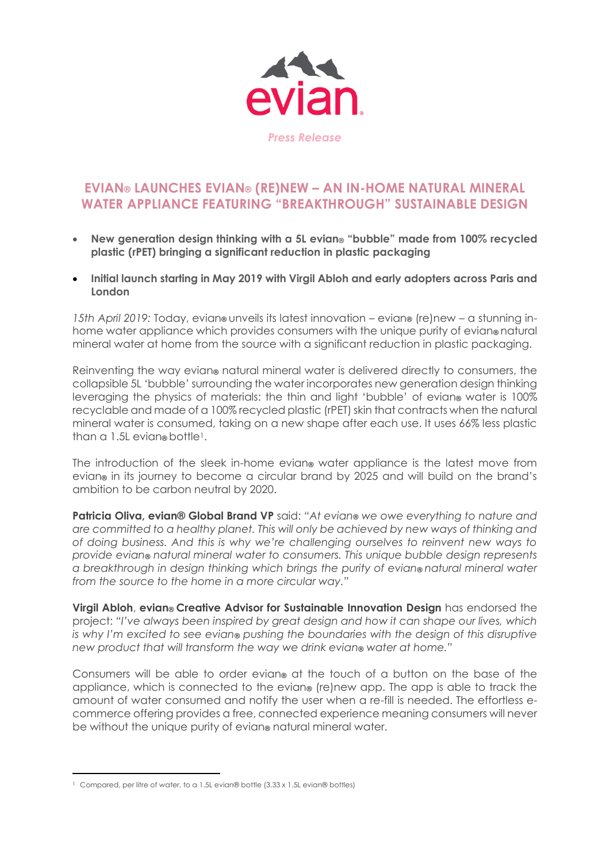

## **EVIAN® LAUNCHES EVIAN® (RE)NEW – AN IN-HOME NATURAL MINERAL WATER APPLIANCE FEATURING "BREAKTHROUGH" SUSTAINABLE DESIGN**

- **New generation design thinking with a 5L evian® "bubble" made from 100% recycled plastic (rPET) bringing a significant reduction in plastic packaging**
- **Initial launch starting in May 2019 with Virgil Abloh and early adopters across Paris and London**

*15th April 2019:* Today, evian**®** unveils its latest innovation – evian**®** (re)new – a stunning inhome water appliance which provides consumers with the unique purity of evian**®** natural mineral water at home from the source with a significant reduction in plastic packaging.

Reinventing the way evian**®** natural mineral water is delivered directly to consumers, the collapsible 5L 'bubble' surrounding the water incorporates new generation design thinking leveraging the physics of materials: the thin and light 'bubble' of evian**®** water is 100% recyclable and made of a 100% recycled plastic (rPET) skin that contracts when the natural mineral water is consumed, taking on a new shape after each use. It uses 66% less plastic than a 1.5L evian**®** bottle1.

The introduction of the sleek in-home evian**®** water appliance is the latest move from evian**®** in its journey to become a circular brand by 2025 and will build on the brand's ambition to be carbon neutral by 2020.

**Patricia Oliva, evian® Global Brand VP** said: *"At evian® we owe everything to nature and are committed to a healthy planet. This will only be achieved by new ways of thinking and of doing business. And this is why we're challenging ourselves to reinvent new ways to provide evian® natural mineral water to consumers. This unique bubble design represents a breakthrough in design thinking which brings the purity of evian® natural mineral water from the source to the home in a more circular way."*

**Virgil Abloh**, **evian® Creative Advisor for Sustainable Innovation Design** has endorsed the project: *"I've always been inspired by great design and how it can shape our lives, which is why I'm excited to see evian® pushing the boundaries with the design of this disruptive new product that will transform the way we drink evian***®** *water at home."*

Consumers will be able to order evian**®** at the touch of a button on the base of the appliance, which is connected to the evian**®** (re)new app. The app is able to track the amount of water consumed and notify the user when a re-fill is needed. The effortless ecommerce offering provides a free, connected experience meaning consumers will never be without the unique purity of evian**®** natural mineral water.

**.** 

<sup>1</sup> Compared, per litre of water, to a 1.5L evian® bottle (3.33 x 1.5L evian® bottles)